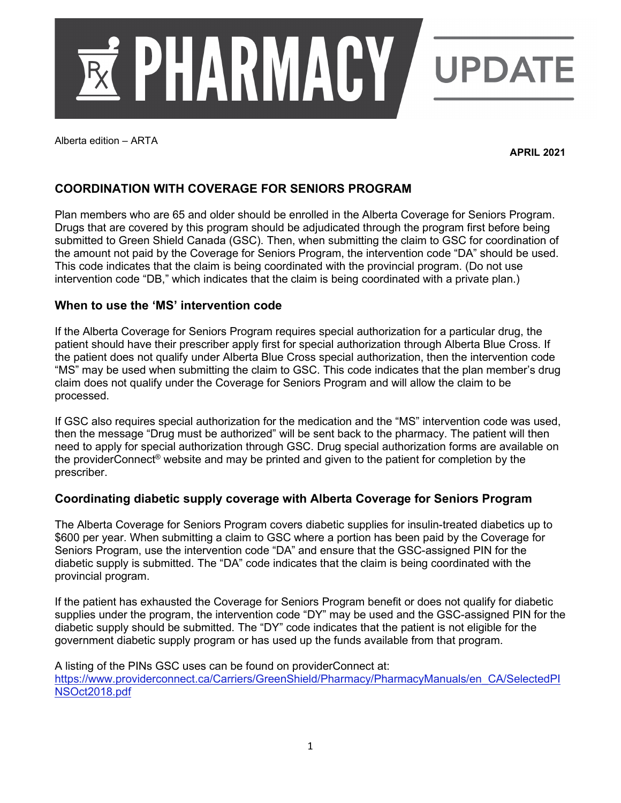

Alberta edition – ARTA

**APRIL 2021**

# **COORDINATION WITH COVERAGE FOR SENIORS PROGRAM**

Plan members who are 65 and older should be enrolled in the Alberta Coverage for Seniors Program. Drugs that are covered by this program should be adjudicated through the program first before being submitted to Green Shield Canada (GSC). Then, when submitting the claim to GSC for coordination of the amount not paid by the Coverage for Seniors Program, the intervention code "DA" should be used. This code indicates that the claim is being coordinated with the provincial program. (Do not use intervention code "DB," which indicates that the claim is being coordinated with a private plan.)

# **When to use the 'MS' intervention code**

If the Alberta Coverage for Seniors Program requires special authorization for a particular drug, the patient should have their prescriber apply first for special authorization through Alberta Blue Cross. If the patient does not qualify under Alberta Blue Cross special authorization, then the intervention code "MS" may be used when submitting the claim to GSC. This code indicates that the plan member's drug claim does not qualify under the Coverage for Seniors Program and will allow the claim to be processed.

If GSC also requires special authorization for the medication and the "MS" intervention code was used, then the message "Drug must be authorized" will be sent back to the pharmacy. The patient will then need to apply for special authorization through GSC. Drug special authorization forms are available on the providerConnect® website and may be printed and given to the patient for completion by the prescriber.

# **Coordinating diabetic supply coverage with Alberta Coverage for Seniors Program**

The Alberta Coverage for Seniors Program covers diabetic supplies for insulin-treated diabetics up to \$600 per year. When submitting a claim to GSC where a portion has been paid by the Coverage for Seniors Program, use the intervention code "DA" and ensure that the GSC-assigned PIN for the diabetic supply is submitted. The "DA" code indicates that the claim is being coordinated with the provincial program.

If the patient has exhausted the Coverage for Seniors Program benefit or does not qualify for diabetic supplies under the program, the intervention code "DY" may be used and the GSC-assigned PIN for the diabetic supply should be submitted. The "DY" code indicates that the patient is not eligible for the government diabetic supply program or has used up the funds available from that program.

A listing of the PINs GSC uses can be found on providerConnect at: [https://www.providerconnect.ca/Carriers/GreenShield/Pharmacy/PharmacyManuals/en\\_CA/SelectedPI](https://www.providerconnect.ca/Carriers/GreenShield/Pharmacy/PharmacyManuals/en_CA/SelectedPINSOct2018.pdf) [NSOct2018.pdf](https://www.providerconnect.ca/Carriers/GreenShield/Pharmacy/PharmacyManuals/en_CA/SelectedPINSOct2018.pdf)